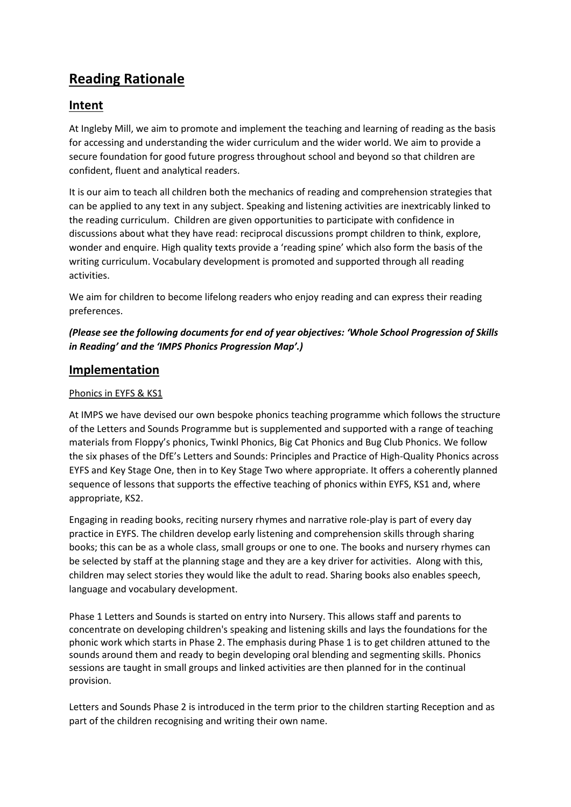# **Reading Rationale**

# **Intent**

At Ingleby Mill, we aim to promote and implement the teaching and learning of reading as the basis for accessing and understanding the wider curriculum and the wider world. We aim to provide a secure foundation for good future progress throughout school and beyond so that children are confident, fluent and analytical readers.

It is our aim to teach all children both the mechanics of reading and comprehension strategies that can be applied to any text in any subject. Speaking and listening activities are inextricably linked to the reading curriculum. Children are given opportunities to participate with confidence in discussions about what they have read: reciprocal discussions prompt children to think, explore, wonder and enquire. High quality texts provide a 'reading spine' which also form the basis of the writing curriculum. Vocabulary development is promoted and supported through all reading activities.

We aim for children to become lifelong readers who enjoy reading and can express their reading preferences.

## *(Please see the following documents for end of year objectives: 'Whole School Progression of Skills in Reading' and the 'IMPS Phonics Progression Map'.)*

# **Implementation**

### Phonics in EYFS & KS1

At IMPS we have devised our own bespoke phonics teaching programme which follows the structure of the Letters and Sounds Programme but is supplemented and supported with a range of teaching materials from Floppy's phonics, Twinkl Phonics, Big Cat Phonics and Bug Club Phonics. We follow the six phases of the DfE's Letters and Sounds: Principles and Practice of High-Quality Phonics across EYFS and Key Stage One, then in to Key Stage Two where appropriate. It offers a coherently planned sequence of lessons that supports the effective teaching of phonics within EYFS, KS1 and, where appropriate, KS2.

Engaging in reading books, reciting nursery rhymes and narrative role-play is part of every day practice in EYFS. The children develop early listening and comprehension skills through sharing books; this can be as a whole class, small groups or one to one. The books and nursery rhymes can be selected by staff at the planning stage and they are a key driver for activities. Along with this, children may select stories they would like the adult to read. Sharing books also enables speech, language and vocabulary development.

Phase 1 Letters and Sounds is started on entry into Nursery. This allows staff and parents to concentrate on developing children's speaking and listening skills and lays the foundations for the phonic work which starts in Phase 2. The emphasis during Phase 1 is to get children attuned to the sounds around them and ready to begin developing oral blending and segmenting skills. Phonics sessions are taught in small groups and linked activities are then planned for in the continual provision.

Letters and Sounds Phase 2 is introduced in the term prior to the children starting Reception and as part of the children recognising and writing their own name.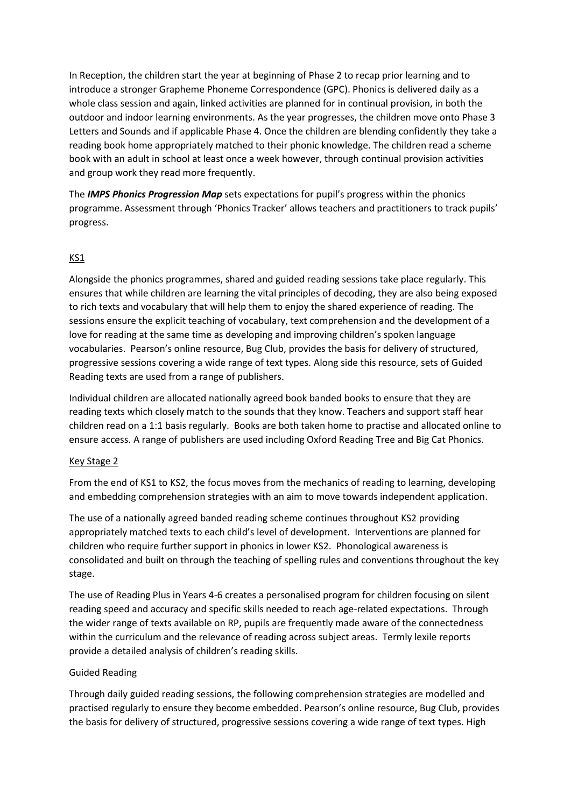In Reception, the children start the year at beginning of Phase 2 to recap prior learning and to introduce a stronger Grapheme Phoneme Correspondence (GPC). Phonics is delivered daily as a whole class session and again, linked activities are planned for in continual provision, in both the outdoor and indoor learning environments. As the year progresses, the children move onto Phase 3 Letters and Sounds and if applicable Phase 4. Once the children are blending confidently they take a reading book home appropriately matched to their phonic knowledge. The children read a scheme book with an adult in school at least once a week however, through continual provision activities and group work they read more frequently.

The *IMPS Phonics Progression Map* sets expectations for pupil's progress within the phonics programme. Assessment through 'Phonics Tracker' allows teachers and practitioners to track pupils' progress.

#### KS1

Alongside the phonics programmes, shared and guided reading sessions take place regularly. This ensures that while children are learning the vital principles of decoding, they are also being exposed to rich texts and vocabulary that will help them to enjoy the shared experience of reading. The sessions ensure the explicit teaching of vocabulary, text comprehension and the development of a love for reading at the same time as developing and improving children's spoken language vocabularies. Pearson's online resource, Bug Club, provides the basis for delivery of structured, progressive sessions covering a wide range of text types. Along side this resource, sets of Guided Reading texts are used from a range of publishers.

Individual children are allocated nationally agreed book banded books to ensure that they are reading texts which closely match to the sounds that they know. Teachers and support staff hear children read on a 1:1 basis regularly. Books are both taken home to practise and allocated online to ensure access. A range of publishers are used including Oxford Reading Tree and Big Cat Phonics.

#### Key Stage 2

From the end of KS1 to KS2, the focus moves from the mechanics of reading to learning, developing and embedding comprehension strategies with an aim to move towards independent application.

The use of a nationally agreed banded reading scheme continues throughout KS2 providing appropriately matched texts to each child's level of development. Interventions are planned for children who require further support in phonics in lower KS2. Phonological awareness is consolidated and built on through the teaching of spelling rules and conventions throughout the key stage.

The use of Reading Plus in Years 4-6 creates a personalised program for children focusing on silent reading speed and accuracy and specific skills needed to reach age-related expectations. Through the wider range of texts available on RP, pupils are frequently made aware of the connectedness within the curriculum and the relevance of reading across subject areas. Termly lexile reports provide a detailed analysis of children's reading skills.

#### Guided Reading

Through daily guided reading sessions, the following comprehension strategies are modelled and practised regularly to ensure they become embedded. Pearson's online resource, Bug Club, provides the basis for delivery of structured, progressive sessions covering a wide range of text types. High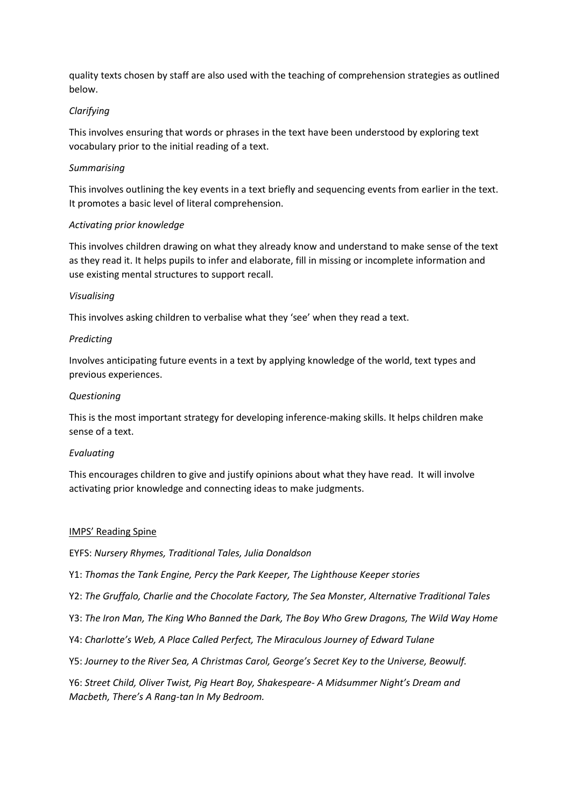quality texts chosen by staff are also used with the teaching of comprehension strategies as outlined below.

#### *Clarifying*

This involves ensuring that words or phrases in the text have been understood by exploring text vocabulary prior to the initial reading of a text.

#### *Summarising*

This involves outlining the key events in a text briefly and sequencing events from earlier in the text. It promotes a basic level of literal comprehension.

#### *Activating prior knowledge*

This involves children drawing on what they already know and understand to make sense of the text as they read it. It helps pupils to infer and elaborate, fill in missing or incomplete information and use existing mental structures to support recall.

#### *Visualising*

This involves asking children to verbalise what they 'see' when they read a text.

#### *Predicting*

Involves anticipating future events in a text by applying knowledge of the world, text types and previous experiences.

#### *Questioning*

This is the most important strategy for developing inference-making skills. It helps children make sense of a text.

#### *Evaluating*

This encourages children to give and justify opinions about what they have read. It will involve activating prior knowledge and connecting ideas to make judgments.

#### IMPS' Reading Spine

EYFS: *Nursery Rhymes, Traditional Tales, Julia Donaldson*

Y1: *Thomas the Tank Engine, Percy the Park Keeper, The Lighthouse Keeper stories*

- Y2: *The Gruffalo, Charlie and the Chocolate Factory, The Sea Monster, Alternative Traditional Tales*
- Y3: *The Iron Man, The King Who Banned the Dark, The Boy Who Grew Dragons, The Wild Way Home*
- Y4: *Charlotte's Web, A Place Called Perfect, The Miraculous Journey of Edward Tulane*
- Y5: *Journey to the River Sea, A Christmas Carol, George's Secret Key to the Universe, Beowulf.*

Y6: *Street Child, Oliver Twist, Pig Heart Boy, Shakespeare- A Midsummer Night's Dream and Macbeth, There's A Rang-tan In My Bedroom.*